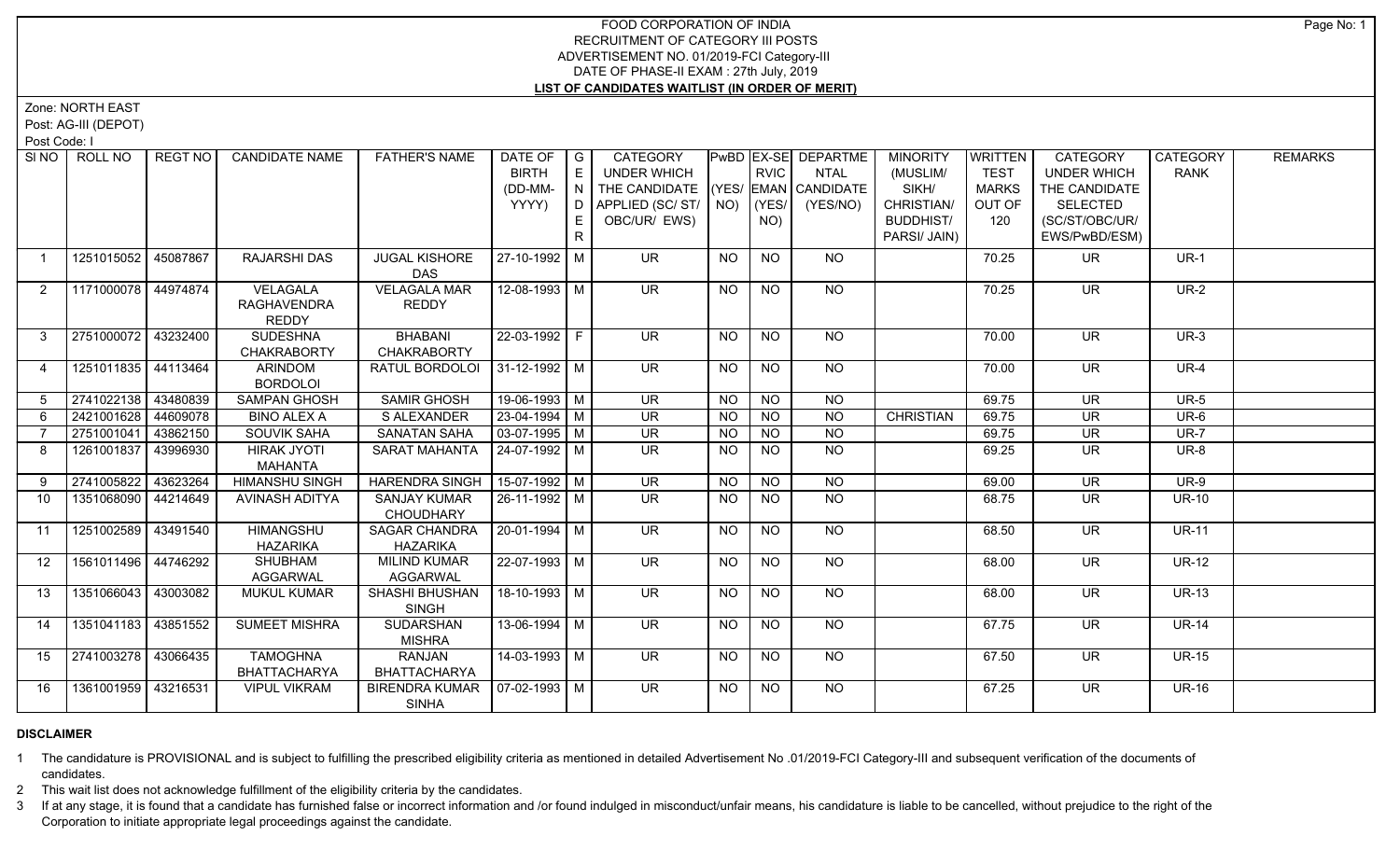Zone: NORTH EAST

Post: AG-III (DEPOT)

Post Code: I

| SI NO 1         | ROLL NO             | REGT NO  | <b>CANDIDATE NAME</b> | <b>FATHER'S NAME</b>            | DATE OF   G           |    | CATEGORY                             |           |                 | <b>PwBD EX-SE DEPARTME</b> | <b>MINORITY</b>  | WRITTEN      | <b>CATEGORY</b>          | CATEGORY     | <b>REMARKS</b> |
|-----------------|---------------------|----------|-----------------------|---------------------------------|-----------------------|----|--------------------------------------|-----------|-----------------|----------------------------|------------------|--------------|--------------------------|--------------|----------------|
|                 |                     |          |                       |                                 | <b>BIRTH</b>          | E  | UNDER WHICH                          |           | <b>RVIC</b>     | <b>NTAL</b>                | (MUSLIM/         | <b>TEST</b>  | <b>UNDER WHICH</b>       | <b>RANK</b>  |                |
|                 |                     |          |                       |                                 | (DD-MM-               |    | N THE CANDIDATE (YES/ EMAN CANDIDATE |           |                 |                            | SIKH/            | <b>MARKS</b> | THE CANDIDATE            |              |                |
|                 |                     |          |                       |                                 | YYYY)                 |    | D APPLIED (SC/ST/ NO)                |           | (YES/           | (YES/NO)                   | CHRISTIAN/       | OUT OF       | <b>SELECTED</b>          |              |                |
|                 |                     |          |                       |                                 |                       |    | OBC/UR/ EWS)                         |           | NO)             |                            | <b>BUDDHIST/</b> | 120          | (SC/ST/OBC/UR/           |              |                |
|                 |                     |          |                       |                                 |                       | R. |                                      |           |                 |                            | PARSI/ JAIN)     |              | EWS/PwBD/ESM)            |              |                |
| $\overline{1}$  | 1251015052 45087867 |          | RAJARSHI DAS          | <b>JUGAL KISHORE</b>            | 27-10-1992 M          |    | <b>UR</b>                            | <b>NO</b> | <b>NO</b>       | <b>NO</b>                  |                  | 70.25        | <b>UR</b>                | $UR-1$       |                |
|                 |                     |          |                       | DAS                             |                       |    |                                      |           |                 |                            |                  |              |                          |              |                |
| 2               | 1171000078 44974874 |          | VELAGALA              | <b>VELAGALA MAR</b>             | 12-08-1993 M          |    | <b>UR</b>                            | <b>NO</b> | NO              | NO                         |                  | 70.25        | UR.                      | <b>UR-2</b>  |                |
|                 |                     |          | RAGHAVENDRA           | <b>REDDY</b>                    |                       |    |                                      |           |                 |                            |                  |              |                          |              |                |
|                 |                     |          | <b>REDDY</b>          |                                 |                       |    |                                      |           |                 |                            |                  |              |                          |              |                |
| $\mathbf{3}$    | 2751000072 43232400 |          | <b>SUDESHNA</b>       | BHABANI                         | 22-03-1992 F          |    | UR.                                  | NO        | NO              | NO.                        |                  | 70.00        | <b>UR</b>                | $UR-3$       |                |
|                 |                     |          | <b>CHAKRABORTY</b>    | <b>CHAKRABORTY</b>              |                       |    |                                      |           |                 |                            |                  |              |                          |              |                |
| $\overline{4}$  | 1251011835 44113464 |          | ARINDOM               | RATUL BORDOLOI 31-12-1992   M   |                       |    | <b>UR</b>                            | <b>NO</b> | <b>NO</b>       | <b>NO</b>                  |                  | 70.00        | <b>UR</b>                | <b>UR-4</b>  |                |
|                 |                     |          | <b>BORDOLOI</b>       |                                 |                       |    |                                      |           |                 |                            |                  |              |                          |              |                |
| 5               | 2741022138 43480839 |          | <b>SAMPAN GHOSH</b>   | <b>SAMIR GHOSH</b>              | 19-06-1993 M          |    | $\overline{\mathsf{UR}}$             | <b>NO</b> | <b>NO</b>       | <b>NO</b>                  |                  | 69.75        | $\overline{\mathsf{UR}}$ | $UR-5$       |                |
| 6               | 2421001628          | 44609078 | <b>BINO ALEX A</b>    | S ALEXANDER                     | 23-04-1994 M          |    | $\overline{\mathsf{UR}}$             | NO.       | NO              | <b>NO</b>                  | <b>CHRISTIAN</b> | 69.75        | <b>UR</b>                | $UR-6$       |                |
|                 | 2751001041          | 43862150 | <b>SOUVIK SAHA</b>    | <b>SANATAN SAHA</b>             | $\sqrt{03-07-1995}$ M |    | $\overline{\mathsf{UR}}$             | <b>NO</b> | $\overline{NO}$ | $\overline{NQ}$            |                  | 69.75        | $\overline{\mathsf{UR}}$ | $UR-7$       |                |
| 8               | 1261001837 43996930 |          | <b>HIRAK JYOTI</b>    | SARAT MAHANTA                   | l 24-07-1992 l M      |    | UR.                                  | NO.       | <b>NO</b>       | <b>NO</b>                  |                  | 69.25        | UR                       | <b>UR-8</b>  |                |
|                 |                     |          | MAHANTA               |                                 |                       |    |                                      |           |                 |                            |                  |              |                          |              |                |
| 9               | 2741005822          | 43623264 | <b>HIMANSHU SINGH</b> | <b>HARENDRA SINGH</b>           | $15-07-1992$ M        |    | <b>UR</b>                            | <b>NO</b> | <b>NO</b>       | <b>NO</b>                  |                  | 69.00        | <b>UR</b>                | $UR-9$       |                |
| 10              | 1351068090 44214649 |          | AVINASH ADITYA        | <b>SANJAY KUMAR</b>             | 26-11-1992   M        |    | <b>UR</b>                            | NO.       | NO.             | <b>NO</b>                  |                  | 68.75        | <b>UR</b>                | <b>UR-10</b> |                |
| 11              | 1251002589          |          | <b>HIMANGSHU</b>      | CHOUDHARY<br>SAGAR CHANDRA      | 20-01-1994 M          |    | UR.                                  | <b>NO</b> | <b>NO</b>       | NO.                        |                  | 68.50        | <b>UR</b>                | <b>UR-11</b> |                |
|                 |                     | 43491540 | <b>HAZARIKA</b>       | <b>HAZARIKA</b>                 |                       |    |                                      |           |                 |                            |                  |              |                          |              |                |
| 12 <sup>2</sup> | 1561011496 44746292 |          | <b>SHUBHAM</b>        | <b>MILIND KUMAR</b>             | 22-07-1993 M          |    | $\overline{\mathsf{UR}}$             | NO        | N <sub>O</sub>  | NO                         |                  | 68.00        | UR                       | <b>UR-12</b> |                |
|                 |                     |          | <b>AGGARWAL</b>       | <b>AGGARWAL</b>                 |                       |    |                                      |           |                 |                            |                  |              |                          |              |                |
| 13              | 1351066043 43003082 |          | <b>MUKUL KUMAR</b>    | SHASHI BHUSHAN                  | 18-10-1993 M          |    | <b>UR</b>                            | <b>NO</b> | <b>NO</b>       | NO                         |                  | 68.00        | <b>UR</b>                | <b>UR-13</b> |                |
|                 |                     |          |                       | <b>SINGH</b>                    |                       |    |                                      |           |                 |                            |                  |              |                          |              |                |
| 14              | 1351041183 43851552 |          | <b>SUMEET MISHRA</b>  | <b>SUDARSHAN</b>                | 13-06-1994 M          |    | $\overline{\mathsf{UR}}$             | <b>NO</b> | NO              | NO                         |                  | 67.75        | $\overline{\mathsf{UR}}$ | $UR-14$      |                |
|                 |                     |          |                       | <b>MISHRA</b>                   |                       |    |                                      |           |                 |                            |                  |              |                          |              |                |
| 15              | 2741003278 33066435 |          | <b>TAMOGHNA</b>       | <b>RANJAN</b>                   | $14-03-1993$ M        |    | <b>UR</b>                            | <b>NO</b> | <b>NO</b>       | NO                         |                  | 67.50        | <b>UR</b>                | <b>UR-15</b> |                |
|                 |                     |          | BHATTACHARYA          | <b>BHATTACHARYA</b>             |                       |    |                                      |           |                 |                            |                  |              |                          |              |                |
| 16              | 1361001959 43216531 |          | <b>VIPUL VIKRAM</b>   | BIRENDRA KUMAR   07-02-1993   M |                       |    | $\overline{\mathsf{UR}}$             | <b>NO</b> | <b>NO</b>       | NO                         |                  | 67.25        | <b>UR</b>                | <b>UR-16</b> |                |
|                 |                     |          |                       | <b>SINHA</b>                    |                       |    |                                      |           |                 |                            |                  |              |                          |              |                |

# **DISCLAIMER**

1 The candidature is PROVISIONAL and is subject to fulfilling the prescribed eligibility criteria as mentioned in detailed Advertisement No .01/2019-FCI Category-III and subsequent verification of the documents of candidates.

2 This wait list does not acknowledge fulfillment of the eligibility criteria by the candidates.

3 If at any stage, it is found that a candidate has furnished false or incorrect information and /or found indulged in misconduct/unfair means, his candidature is liable to be cancelled, without prejudice to the right of t Corporation to initiate appropriate legal proceedings against the candidate.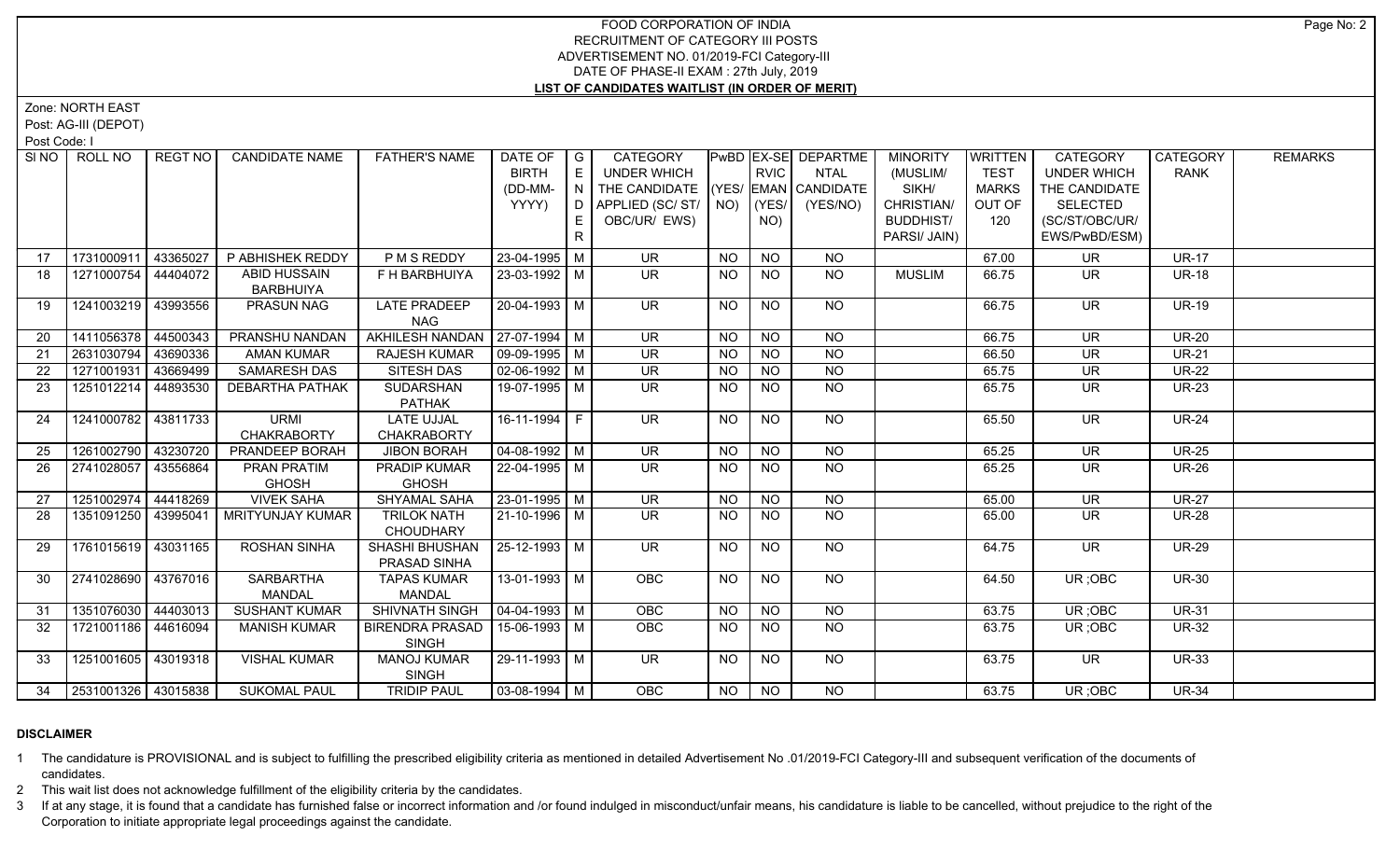Zone: NORTH EAST

Post: AG-III (DEPOT)

Post Code: I

|    | SINO   ROLL NO      | REGT NO  | <b>CANDIDATE NAME</b>   | <b>FATHER'S NAME</b>             | DATE OF                | I G | CATEGORY                           |                |                | PwBD   EX-SE   DEPARTME | <b>MINORITY</b>  | <b>WRITTEN</b> | <b>CATEGORY</b>    | CATEGORY     | <b>REMARKS</b> |
|----|---------------------|----------|-------------------------|----------------------------------|------------------------|-----|------------------------------------|----------------|----------------|-------------------------|------------------|----------------|--------------------|--------------|----------------|
|    |                     |          |                         |                                  | <b>BIRTH</b>           | E   | <b>UNDER WHICH</b>                 |                | <b>RVIC</b>    | <b>NTAL</b>             | (MUSLIM/         | <b>TEST</b>    | <b>UNDER WHICH</b> | <b>RANK</b>  |                |
|    |                     |          |                         |                                  | (DD-MM-                | IN. | THE CANDIDATE (YES/ EMAN CANDIDATE |                |                |                         | SIKH/            | <b>MARKS</b>   | THE CANDIDATE      |              |                |
|    |                     |          |                         |                                  | YYYY)                  | D   | APPLIED (SC/ ST/   NO)   (YES/     |                |                | (YES/NO)                | CHRISTIAN/       | OUT OF         | <b>SELECTED</b>    |              |                |
|    |                     |          |                         |                                  |                        | E.  | OBC/UR/ EWS)                       |                | NO)            |                         | <b>BUDDHIST/</b> | 120            | (SC/ST/OBC/UR/     |              |                |
|    |                     |          |                         |                                  |                        | R   |                                    |                |                |                         | PARSI/ JAIN)     |                | EWS/PwBD/ESM)      |              |                |
| 17 | 1731000911          | 43365027 | P ABHISHEK REDDY        | P M S REDDY                      | 23-04-1995 M           |     | <b>UR</b>                          | NO.            | <b>NO</b>      | <b>NO</b>               |                  | 67.00          | UR                 | <b>UR-17</b> |                |
| 18 | 1271000754          | 44404072 | <b>ABID HUSSAIN</b>     | F H BARBHUIYA                    | 23-03-1992   M         |     | UR.                                | NO.            | <b>NO</b>      | <b>NO</b>               | <b>MUSLIM</b>    | 66.75          | UR.                | <b>UR-18</b> |                |
|    |                     |          | <b>BARBHUIYA</b>        |                                  |                        |     |                                    |                |                |                         |                  |                |                    |              |                |
| 19 | 1241003219          | 43993556 | PRASUN NAG              | <b>LATE PRADEEP</b>              | 20-04-1993 M           |     | <b>UR</b>                          | <b>NO</b>      | <b>NO</b>      | <b>NO</b>               |                  | 66.75          | <b>UR</b>          | <b>UR-19</b> |                |
|    |                     |          |                         | <b>NAG</b>                       |                        |     |                                    |                |                |                         |                  |                |                    |              |                |
| 20 | 1411056378          | 44500343 | PRANSHU NANDAN          | AKHILESH NANDAN   27-07-1994   M |                        |     | <b>UR</b>                          | <b>NO</b>      | <b>NO</b>      | <b>NO</b>               |                  | 66.75          | <b>UR</b>          | <b>UR-20</b> |                |
| 21 | 2631030794          | 43690336 | <b>AMAN KUMAR</b>       | <b>RAJESH KUMAR</b>              | $09-09-1995$ M         |     | <b>UR</b>                          | <b>NO</b>      | N <sub>O</sub> | $\overline{NO}$         |                  | 66.50          | <b>UR</b>          | <b>UR-21</b> |                |
| 22 | 1271001931          | 43669499 | SAMARESH DAS            | SITESH DAS                       | $02 - 06 - 1992$ M     |     | <b>UR</b>                          | <b>NO</b>      | <b>NO</b>      | <b>NO</b>               |                  | 65.75          | <b>UR</b>          | <b>UR-22</b> |                |
| 23 | 1251012214          | 44893530 | <b>DEBARTHA PATHAK</b>  | <b>SUDARSHAN</b>                 | 19-07-1995   M         |     | UR.                                | NO.            | <b>NO</b>      | <b>NO</b>               |                  | 65.75          | UR                 | <b>UR-23</b> |                |
|    |                     |          |                         | <b>PATHAK</b>                    |                        |     |                                    |                |                |                         |                  |                |                    |              |                |
| 24 | 1241000782 43811733 |          | <b>URMI</b>             | <b>LATE UJJAL</b>                | 16-11-1994 F           |     | $\overline{\mathsf{UR}}$           | NO.            | <b>NO</b>      | NO                      |                  | 65.50          | <b>UR</b>          | <b>UR-24</b> |                |
|    |                     |          | <b>CHAKRABORTY</b>      | <b>CHAKRABORTY</b>               |                        |     |                                    |                |                |                         |                  |                |                    |              |                |
| 25 | 1261002790          | 43230720 | PRANDEEP BORAH          | <b>JIBON BORAH</b>               | $04-08-1992$ M         |     | <b>UR</b>                          | <b>NO</b>      | N <sub>O</sub> | $N$ O                   |                  | 65.25          | <b>UR</b>          | <b>UR-25</b> |                |
| 26 | 2741028057          | 43556864 | PRAN PRATIM             | PRADIP KUMAR                     | 22-04-1995   M         |     | UR.                                | NO.            | <b>NO</b>      | N <sub>O</sub>          |                  | 65.25          | <b>UR</b>          | <b>UR-26</b> |                |
|    |                     |          | <b>GHOSH</b>            | <b>GHOSH</b>                     |                        |     |                                    |                |                |                         |                  |                |                    |              |                |
| 27 | 1251002974          | 44418269 | <b>VIVEK SAHA</b>       | <b>SHYAMAL SAHA</b>              | $23 - 01 - 1995$ M     |     | UR                                 | <b>NO</b>      | N <sub>O</sub> | $N$ O                   |                  | 65.00          | <b>UR</b>          | <b>UR-27</b> |                |
| 28 | 1351091250 43995041 |          | <b>MRITYUNJAY KUMAR</b> | <b>TRILOK NATH</b>               | 21-10-1996 M           |     | <b>UR</b>                          | <b>NO</b>      | <b>NO</b>      | <b>NO</b>               |                  | 65.00          | UR                 | <b>UR-28</b> |                |
|    |                     |          |                         | <b>CHOUDHARY</b>                 |                        |     |                                    |                |                |                         |                  |                |                    |              |                |
| 29 | 1761015619 43031165 |          | <b>ROSHAN SINHA</b>     | <b>SHASHI BHUSHAN</b>            | 25-12-1993 M           |     | <b>UR</b>                          | <b>NO</b>      | <b>NO</b>      | <b>NO</b>               |                  | 64.75          | <b>UR</b>          | <b>UR-29</b> |                |
|    |                     |          |                         | PRASAD SINHA                     |                        |     |                                    |                |                |                         |                  |                |                    |              |                |
| 30 | 2741028690 43767016 |          | <b>SARBARTHA</b>        | <b>TAPAS KUMAR</b>               | 13-01-1993   M         |     | <b>OBC</b>                         | NO.            | NO.            | NO.                     |                  | 64.50          | UR; OBC            | <b>UR-30</b> |                |
|    |                     |          | <b>MANDAL</b>           | <b>MANDAL</b>                    |                        |     |                                    |                |                |                         |                  |                |                    |              |                |
| 31 | 1351076030 44403013 |          | <b>SUSHANT KUMAR</b>    | SHIVNATH SINGH                   | $\boxed{04-04-1993}$ M |     | OBC                                | N <sub>O</sub> | N <sub>O</sub> | N <sub>O</sub>          |                  | 63.75          | UR; OBC            | <b>UR-31</b> |                |
| 32 | 1721001186 44616094 |          | <b>MANISH KUMAR</b>     | <b>BIRENDRA PRASAD</b>           | 15-06-1993 M           |     | OBC                                | NO.            | <b>NO</b>      | <b>NO</b>               |                  | 63.75          | UR; OBC            | <b>UR-32</b> |                |
|    |                     |          |                         | <b>SINGH</b>                     |                        |     |                                    |                |                |                         |                  |                |                    |              |                |
| 33 | 1251001605 43019318 |          | <b>VISHAL KUMAR</b>     | <b>MANOJ KUMAR</b>               | 29-11-1993 M           |     | UR.                                | NO             | N <sub>O</sub> | NO                      |                  | 63.75          | UR.                | <b>UR-33</b> |                |
|    |                     |          |                         | SINGH                            |                        |     |                                    |                |                |                         |                  |                |                    |              |                |
| 34 | 2531001326 43015838 |          | <b>SUKOMAL PAUL</b>     | <b>TRIDIP PAUL</b>               | $\boxed{03-08-1994}$ M |     | <b>OBC</b>                         | NO.            | NO.            | <b>NO</b>               |                  | 63.75          | UR : OBC           | <b>UR-34</b> |                |

# **DISCLAIMER**

1 The candidature is PROVISIONAL and is subject to fulfilling the prescribed eligibility criteria as mentioned in detailed Advertisement No .01/2019-FCI Category-III and subsequent verification of the documents of candidates.

2 This wait list does not acknowledge fulfillment of the eligibility criteria by the candidates.

3 If at any stage, it is found that a candidate has furnished false or incorrect information and /or found indulged in misconduct/unfair means, his candidature is liable to be cancelled, without prejudice to the right of t Corporation to initiate appropriate legal proceedings against the candidate.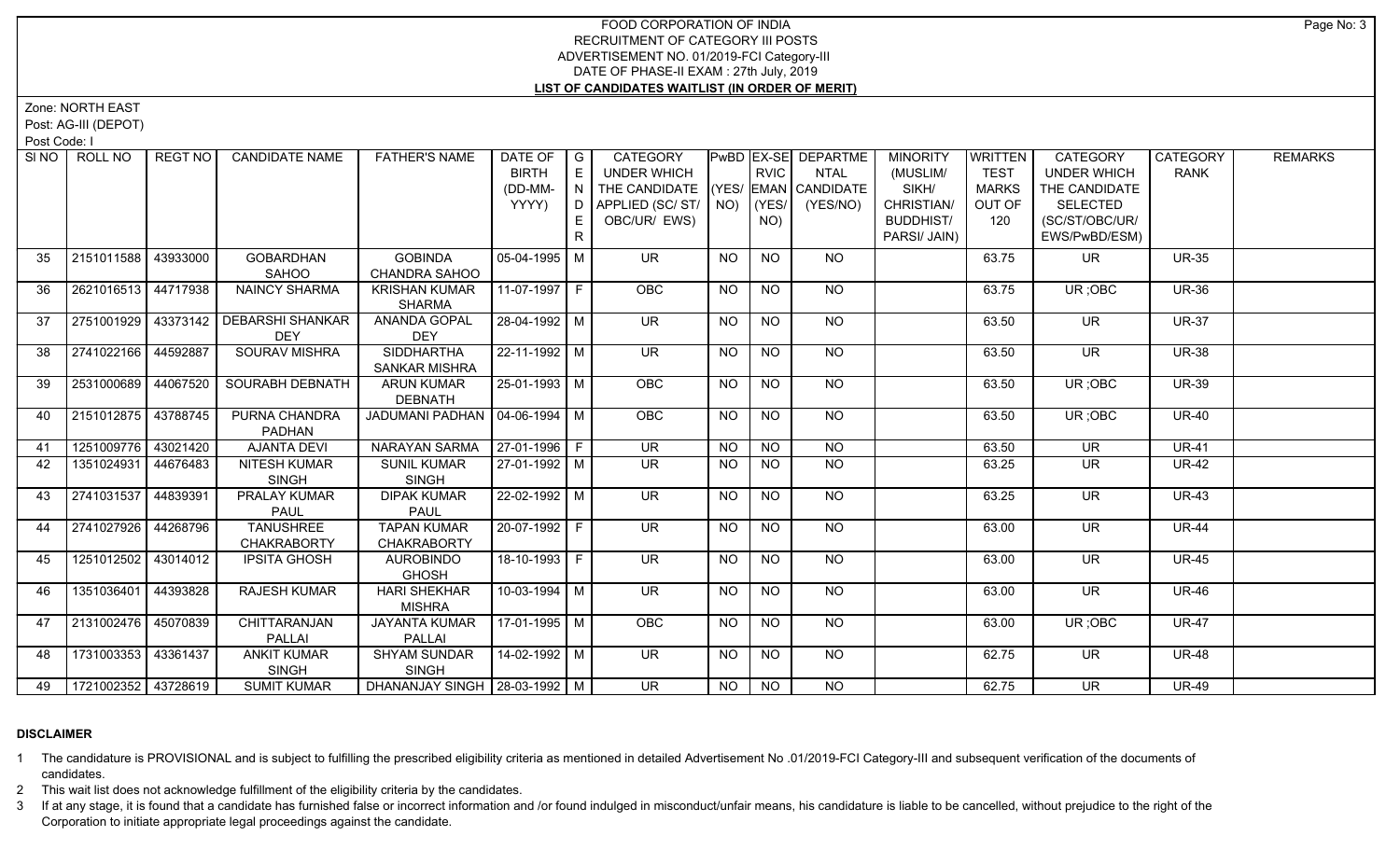Zone: NORTH EAST

Post: AG-III (DEPOT)

Post Code: I

|    | SINO   ROLL NO             | REGT NO I | <b>CANDIDATE NAME</b>                                | <b>FATHER'S NAME</b>                     | DATE OF   G<br><b>BIRTH</b><br>(DD-MM-<br>YYYY) | E<br>N.<br>D<br>E. | CATEGORY<br><b>UNDER WHICH</b><br>THE CANDIDATE (YES/ EMAN CANDIDATE<br>APPLIED (SC/ ST/   NO)   (YES/<br>OBC/UR/ EWS) |                 | <b>RVIC</b><br>NO) | PwBD   EX-SE   DEPARTME  <br><b>NTAL</b><br>(YES/NO) | <b>MINORITY</b><br>(MUSLIM/<br>SIKH/<br>CHRISTIAN/<br><b>BUDDHIST/</b><br>PARSI/ JAIN) | <b>WRITTEN</b><br><b>TEST</b><br>MARKS<br>OUT OF<br>120 | <b>CATEGORY</b><br><b>UNDER WHICH</b><br>THE CANDIDATE<br><b>SELECTED</b><br>(SC/ST/OBC/UR/<br>EWS/PwBD/ESM) | CATEGORY<br><b>RANK</b> | <b>REMARKS</b> |
|----|----------------------------|-----------|------------------------------------------------------|------------------------------------------|-------------------------------------------------|--------------------|------------------------------------------------------------------------------------------------------------------------|-----------------|--------------------|------------------------------------------------------|----------------------------------------------------------------------------------------|---------------------------------------------------------|--------------------------------------------------------------------------------------------------------------|-------------------------|----------------|
| 35 | 2151011588                 | 43933000  | <b>GOBARDHAN</b><br>SAHOO                            | <b>GOBINDA</b><br>CHANDRA SAHOO          | $05-04-1995$ M                                  |                    | <b>UR</b>                                                                                                              | <b>NO</b>       | <b>NO</b>          | NO.                                                  |                                                                                        | 63.75                                                   | UR.                                                                                                          | <b>UR-35</b>            |                |
| 36 | 2621016513 44717938        |           | NAINCY SHARMA                                        | <b>KRISHAN KUMAR</b><br><b>SHARMA</b>    | 11-07-1997 F                                    |                    | OBC                                                                                                                    | <b>NO</b>       | <b>NO</b>          | <b>NO</b>                                            |                                                                                        | 63.75                                                   | UR; OBC                                                                                                      | <b>UR-36</b>            |                |
| 37 |                            |           | 2751001929   43373142 DEBARSHI SHANKAR<br><b>DEY</b> | <b>ANANDA GOPAL</b><br><b>DEY</b>        | 28-04-1992 M                                    |                    | $\overline{\mathsf{UR}}$                                                                                               | $\overline{NO}$ | $\overline{NQ}$    | $N$ <sup>O</sup>                                     |                                                                                        | 63.50                                                   | $\overline{\mathsf{UR}}$                                                                                     | <b>UR-37</b>            |                |
| 38 | 2741022166 44592887        |           | <b>SOURAV MISHRA</b>                                 | <b>SIDDHARTHA</b><br>SANKAR MISHRA       | $22 - 11 - 1992$ M                              |                    | UR.                                                                                                                    | NO.             | <b>NO</b>          | NO.                                                  |                                                                                        | 63.50                                                   | UR.                                                                                                          | <b>UR-38</b>            |                |
| 39 | 2531000689 44067520        |           | <b>SOURABH DEBNATH</b>                               | <b>ARUN KUMAR</b><br><b>DEBNATH</b>      | $25-01-1993$ M                                  |                    | <b>OBC</b>                                                                                                             | <b>NO</b>       | <b>NO</b>          | NO                                                   |                                                                                        | 63.50                                                   | UR; OBC                                                                                                      | <b>UR-39</b>            |                |
| 40 | 2151012875 43788745        |           | PURNA CHANDRA<br><b>PADHAN</b>                       | JADUMANI PADHAN   04-06-1994   M         |                                                 |                    | OBC                                                                                                                    | <b>NO</b>       | <b>NO</b>          | NO                                                   |                                                                                        | 63.50                                                   | UR; OBC                                                                                                      | <b>UR-40</b>            |                |
| 41 | 1251009776 43021420        |           | <b>AJANTA DEVI</b>                                   | NARAYAN SARMA                            | $27-01-1996$ F                                  |                    | <b>UR</b>                                                                                                              | <b>NO</b>       | <b>NO</b>          | <b>NO</b>                                            |                                                                                        | 63.50                                                   | <b>UR</b>                                                                                                    | <b>UR-41</b>            |                |
| 42 | 1351024931                 | 44676483  | NITESH KUMAR<br><b>SINGH</b>                         | <b>SUNIL KUMAR</b><br><b>SINGH</b>       | 27-01-1992 M                                    |                    | <b>UR</b>                                                                                                              | NO.             | <b>NO</b>          | <b>NO</b>                                            |                                                                                        | 63.25                                                   | <b>UR</b>                                                                                                    | <b>UR-42</b>            |                |
| 43 | 2741031537                 | 44839391  | PRALAY KUMAR<br><b>PAUL</b>                          | <b>DIPAK KUMAR</b><br><b>PAUL</b>        | 22-02-1992 M                                    |                    | $\overline{\mathsf{UR}}$                                                                                               | NO.             | <b>NO</b>          | NO                                                   |                                                                                        | 63.25                                                   | <b>UR</b>                                                                                                    | <b>UR-43</b>            |                |
| 44 | 2741027926 44268796        |           | <b>TANUSHREE</b><br><b>CHAKRABORTY</b>               | <b>TAPAN KUMAR</b><br><b>CHAKRABORTY</b> | 20-07-1992 F                                    |                    | $\overline{\mathsf{UR}}$                                                                                               | <b>NO</b>       | $\overline{NO}$    | $N$ <sup>O</sup>                                     |                                                                                        | 63.00                                                   | <b>UR</b>                                                                                                    | <b>UR-44</b>            |                |
| 45 | 1251012502 43014012        |           | <b>IPSITA GHOSH</b>                                  | <b>AUROBINDO</b><br><b>GHOSH</b>         | 18-10-1993 F                                    |                    | <b>UR</b>                                                                                                              | <b>NO</b>       | <b>NO</b>          | $N$ O                                                |                                                                                        | 63.00                                                   | <b>UR</b>                                                                                                    | <b>UR-45</b>            |                |
| 46 | 1351036401                 | 44393828  | RAJESH KUMAR                                         | <b>HARI SHEKHAR</b><br><b>MISHRA</b>     | 10-03-1994 M                                    |                    | UR.                                                                                                                    | NO              | <b>NO</b>          | NO.                                                  |                                                                                        | 63.00                                                   | <b>UR</b>                                                                                                    | <b>UR-46</b>            |                |
| 47 | 2131002476 45070839        |           | CHITTARANJAN<br>PALLAI                               | <b>JAYANTA KUMAR</b><br><b>PALLAI</b>    | 17-01-1995 M                                    |                    | OBC                                                                                                                    | <b>NO</b>       | <b>NO</b>          | <b>NO</b>                                            |                                                                                        | 63.00                                                   | UR; OBC                                                                                                      | <b>UR-47</b>            |                |
| 48 | 1731003353 43361437        |           | <b>ANKIT KUMAR</b><br><b>SINGH</b>                   | SHYAM SUNDAR<br><b>SINGH</b>             | $14 - 02 - 1992$ M                              |                    | <b>UR</b>                                                                                                              | <b>NO</b>       | <b>NO</b>          | NO                                                   |                                                                                        | 62.75                                                   | <b>UR</b>                                                                                                    | <b>UR-48</b>            |                |
|    | 49   1721002352   43728619 |           | <b>SUMIT KUMAR</b>                                   | DHANANJAY SINGH   28-03-1992   M         |                                                 |                    | UR.                                                                                                                    | NO              | NO                 | NO.                                                  |                                                                                        | 62.75                                                   | UR.                                                                                                          | <b>UR-49</b>            |                |

# **DISCLAIMER**

1 The candidature is PROVISIONAL and is subject to fulfilling the prescribed eligibility criteria as mentioned in detailed Advertisement No .01/2019-FCI Category-III and subsequent verification of the documents of candidates.

2 This wait list does not acknowledge fulfillment of the eligibility criteria by the candidates.

3 If at any stage, it is found that a candidate has furnished false or incorrect information and /or found indulged in misconduct/unfair means, his candidature is liable to be cancelled, without prejudice to the right of t Corporation to initiate appropriate legal proceedings against the candidate.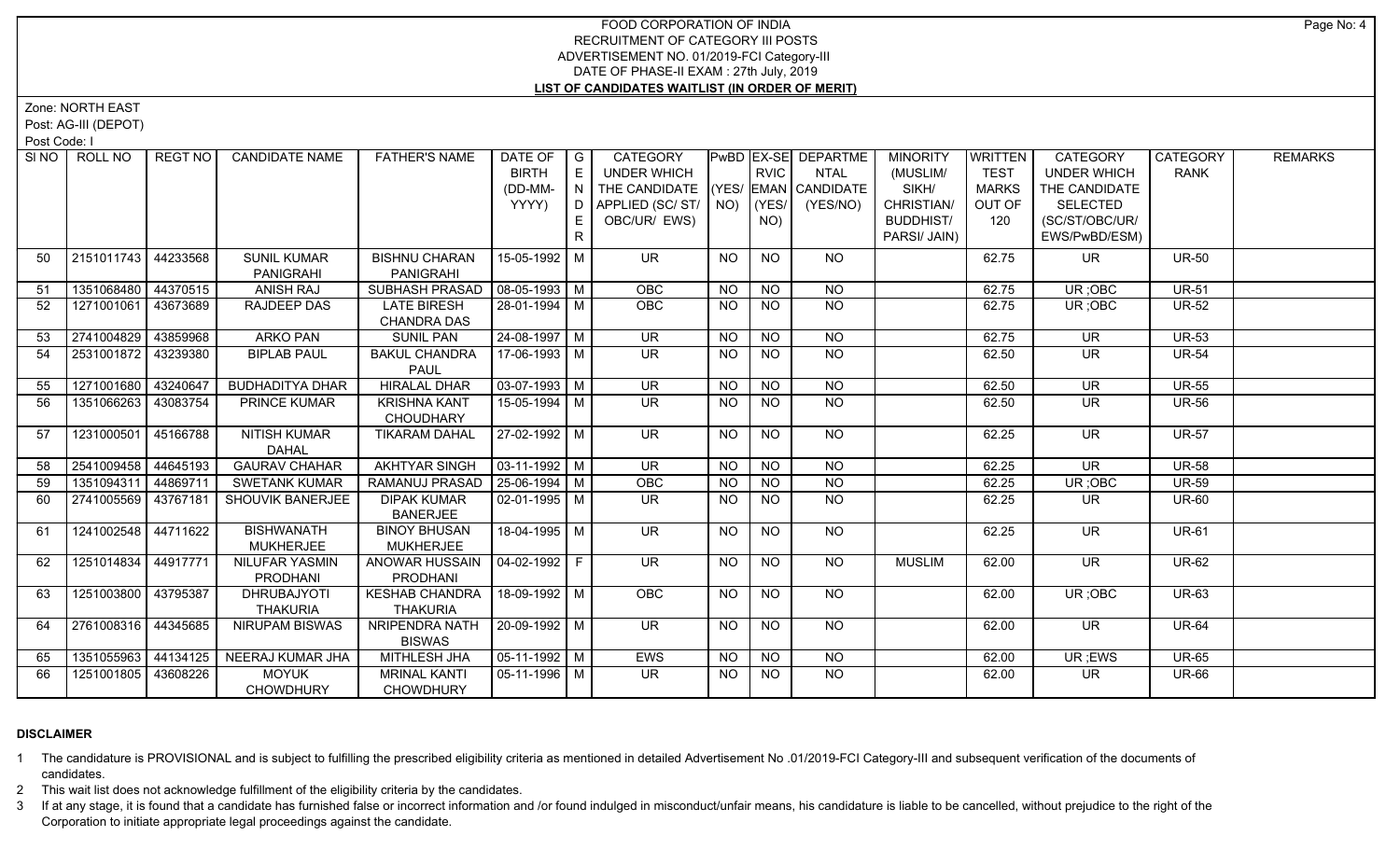Zone: NORTH EAST

Post: AG-III (DEPOT)

Post Code: I

|    | SINO   ROLL NO      | REGT NO I          | <b>CANDIDATE NAME</b>  | <b>FATHER'S NAME</b>            | DATE OF   G    |                | CATEGORY                           |           |                 | PwBD   EX-SE   DEPARTME | <b>MINORITY</b>  | WRITTEN      | <b>CATEGORY</b>          | CATEGORY     | <b>REMARKS</b> |
|----|---------------------|--------------------|------------------------|---------------------------------|----------------|----------------|------------------------------------|-----------|-----------------|-------------------------|------------------|--------------|--------------------------|--------------|----------------|
|    |                     |                    |                        |                                 | <b>BIRTH</b>   | E              | UNDER WHICH                        |           | <b>RVIC</b>     | <b>NTAL</b>             | (MUSLIM/         | <b>TEST</b>  | <b>UNDER WHICH</b>       | <b>RANK</b>  |                |
|    |                     |                    |                        |                                 | (DD-MM-        | $\overline{N}$ | THE CANDIDATE (YES/ EMAN CANDIDATE |           |                 |                         | SIKH/            | <b>MARKS</b> | THE CANDIDATE            |              |                |
|    |                     |                    |                        |                                 | YYYY)          | D.             | APPLIED (SC/ ST/   NO)   (YES/     |           |                 | (YES/NO)                | CHRISTIAN/       | OUT OF       | <b>SELECTED</b>          |              |                |
|    |                     |                    |                        |                                 |                | E              | OBC/UR/ EWS)                       |           | NO)             |                         | <b>BUDDHIST/</b> | 120          | (SC/ST/OBC/UR/           |              |                |
|    |                     |                    |                        |                                 |                | $\mathsf{R}$   |                                    |           |                 |                         | PARSI/ JAIN)     |              | EWS/PwBD/ESM)            |              |                |
| 50 | 2151011743          | 44233568           | <b>SUNIL KUMAR</b>     | <b>BISHNU CHARAN</b>            | 15-05-1992 M   |                | UR.                                | NO        | <b>NO</b>       | <b>NO</b>               |                  | 62.75        | UR.                      | <b>UR-50</b> |                |
|    |                     |                    | PANIGRAHI              | <b>PANIGRAHI</b>                |                |                |                                    |           |                 |                         |                  |              |                          |              |                |
| 51 | 1351068480          | 44370515           | <b>ANISH RAJ</b>       | SUBHASH PRASAD                  | $08-05-1993$ M |                | <b>OBC</b>                         | <b>NO</b> | <b>NO</b>       | <b>NO</b>               |                  | 62.75        | UR; OBC                  | <b>UR-51</b> |                |
| 52 | 1271001061          | 43673689           | RAJDEEP DAS            | <b>LATE BIRESH</b>              | 28-01-1994 M   |                | <b>OBC</b>                         | NO.       | <b>NO</b>       | <b>NO</b>               |                  | 62.75        | UR; OBC                  | <b>UR-52</b> |                |
|    |                     |                    |                        | <b>CHANDRA DAS</b>              |                |                |                                    |           |                 |                         |                  |              |                          |              |                |
| 53 | 2741004829          | 43859968           | <b>ARKO PAN</b>        | <b>SUNIL PAN</b>                | 24-08-1997 M   |                | <b>UR</b>                          | <b>NO</b> | $\overline{NO}$ | $\overline{NQ}$         |                  | 62.75        | <b>UR</b>                | <b>UR-53</b> |                |
| 54 | 2531001872 43239380 |                    | <b>BIPLAB PAUL</b>     | <b>BAKUL CHANDRA</b>            | 17-06-1993 M   |                | <b>UR</b>                          | NO.       | <b>NO</b>       | NO                      |                  | 62.50        | UR.                      | <b>UR-54</b> |                |
|    |                     |                    |                        | <b>PAUL</b>                     |                |                |                                    |           |                 |                         |                  |              |                          |              |                |
| 55 | 1271001680 43240647 |                    | <b>BUDHADITYA DHAR</b> | <b>HIRALAL DHAR</b>             | $03-07-1993$ M |                | $\overline{\mathsf{UR}}$           | <b>NO</b> | N <sub>O</sub>  | N <sub>O</sub>          |                  | 62.50        | $\overline{\mathsf{UR}}$ | <b>UR-55</b> |                |
| 56 | 1351066263          | 43083754           | <b>PRINCE KUMAR</b>    | <b>KRISHNA KANT</b>             | 15-05-1994   M |                | UR.                                | NO.       | <b>NO</b>       | <b>NO</b>               |                  | 62.50        | UR                       | <b>UR-56</b> |                |
|    |                     |                    |                        | CHOUDHARY                       |                |                |                                    |           |                 |                         |                  |              |                          |              |                |
| 57 | 1231000501          | 45166788           | NITISH KUMAR           | <b>TIKARAM DAHAL</b>            | 27-02-1992 M   |                | UR.                                | NO.       | <b>NO</b>       | NO                      |                  | 62.25        | <b>UR</b>                | <b>UR-57</b> |                |
|    |                     |                    | <b>DAHAL</b>           |                                 |                |                |                                    |           |                 |                         |                  |              |                          |              |                |
| 58 | 2541009458          | 44645193           | <b>GAURAV CHAHAR</b>   | <b>AKHTYAR SINGH</b>            | $03-11-1992$ M |                | UR                                 | NO.       | NO              | $N$ O                   |                  | 62.25        | $\overline{\mathsf{UR}}$ | <b>UR-58</b> |                |
| 59 | 1351094311          | 44869711           | <b>SWETANK KUMAR</b>   | RAMANUJ PRASAD   25-06-1994   M |                |                | OBC                                | <b>NO</b> | <b>NO</b>       | $N$ O                   |                  | 62.25        | UR; OBC                  | <b>UR-59</b> |                |
| 60 | 2741005569          | 43767181           | SHOUVIK BANERJEE       | <b>DIPAK KUMAR</b>              | $02-01-1995$ M |                | UR.                                | <b>NO</b> | <b>NO</b>       | <b>NO</b>               |                  | 62.25        | UR.                      | <b>UR-60</b> |                |
|    |                     |                    |                        | <b>BANERJEE</b>                 |                |                |                                    |           |                 |                         |                  |              |                          |              |                |
| 61 | 1241002548 44711622 |                    | <b>BISHWANATH</b>      | <b>BINOY BHUSAN</b>             | 18-04-1995 M   |                | <b>UR</b>                          | <b>NO</b> | <b>NO</b>       | <b>NO</b>               |                  | 62.25        | <b>UR</b>                | <b>UR-61</b> |                |
|    |                     |                    | <b>MUKHERJEE</b>       | <b>MUKHERJEE</b>                |                |                |                                    |           |                 |                         |                  |              |                          |              |                |
| 62 | 1251014834 44917771 |                    | <b>NILUFAR YASMIN</b>  | ANOWAR HUSSAIN                  | 04-02-1992 F   |                | UR.                                | NO.       | <b>NO</b>       | <b>NO</b>               | <b>MUSLIM</b>    | 62.00        | UR                       | <b>UR-62</b> |                |
|    |                     |                    | PRODHANI               | <b>PRODHANI</b>                 |                |                |                                    |           |                 |                         |                  |              |                          |              |                |
| 63 | 1251003800 43795387 |                    | <b>DHRUBAJYOTI</b>     | <b>KESHAB CHANDRA</b>           | 18-09-1992 M   |                | <b>OBC</b>                         | NO        | <b>NO</b>       | NO                      |                  | 62.00        | UR; OBC                  | <b>UR-63</b> |                |
|    |                     |                    | <b>THAKURIA</b>        | <b>THAKURIA</b>                 |                |                |                                    |           |                 |                         |                  |              |                          |              |                |
| 64 | 2761008316 44345685 |                    | <b>NIRUPAM BISWAS</b>  | NRIPENDRA NATH                  | 20-09-1992 M   |                | $\overline{\mathsf{UR}}$           | <b>NO</b> | N <sub>O</sub>  | $N$ O                   |                  | 62.00        | $\overline{\mathsf{UR}}$ | <b>UR-64</b> |                |
|    |                     |                    |                        | <b>BISWAS</b>                   |                |                |                                    |           |                 |                         |                  |              |                          |              |                |
| 65 | 1351055963          | $ 44134125\rangle$ | NEERAJ KUMAR JHA       | <b>MITHLESH JHA</b>             | $05-11-1992$ M |                | <b>EWS</b>                         | <b>NO</b> | NO              | <b>NO</b>               |                  | 62.00        | UR; EWS                  | <b>UR-65</b> |                |
| 66 | 1251001805 43608226 |                    | <b>MOYUK</b>           | <b>MRINAL KANTI</b>             | 05-11-1996 M   |                | UR.                                | NO        | <b>NO</b>       | <b>NO</b>               |                  | 62.00        | UR.                      | <b>UR-66</b> |                |
|    |                     |                    | <b>CHOWDHURY</b>       | <b>CHOWDHURY</b>                |                |                |                                    |           |                 |                         |                  |              |                          |              |                |

# **DISCLAIMER**

1 The candidature is PROVISIONAL and is subject to fulfilling the prescribed eligibility criteria as mentioned in detailed Advertisement No .01/2019-FCI Category-III and subsequent verification of the documents of candidates.

2 This wait list does not acknowledge fulfillment of the eligibility criteria by the candidates.

3 If at any stage, it is found that a candidate has furnished false or incorrect information and /or found indulged in misconduct/unfair means, his candidature is liable to be cancelled, without prejudice to the right of t Corporation to initiate appropriate legal proceedings against the candidate.